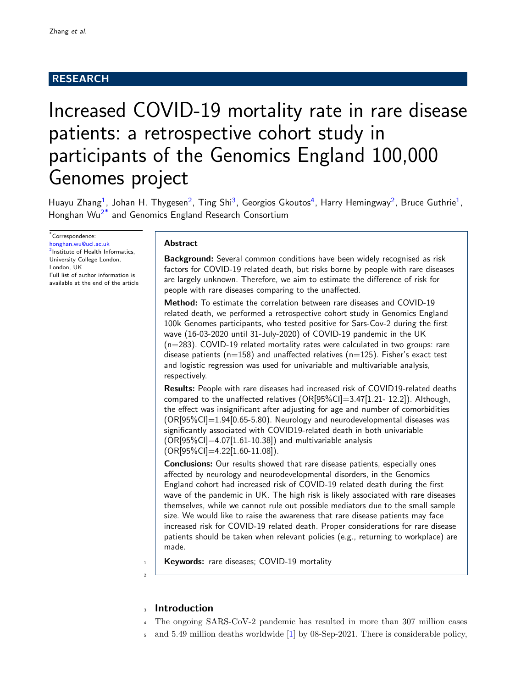# RESEARCH

# Increased COVID-19 mortality rate in rare disease patients: a retrospective cohort study in participants of the Genomics England 100,000 Genomes project

Huayu Zhang<sup>[1](#page-5-0)</sup>, Johan H. Thygesen<sup>[2](#page-5-1)</sup>, Ting Shi<sup>[3](#page-5-2)</sup>, Georgios Gkoutos<sup>[4](#page-5-3)</sup>, Harry Hemingway<sup>2</sup>, Bruce Guthrie<sup>1</sup>, Honghan Wu<sup>[2](#page-5-1)[\\*](#page-0-0)</sup> and Genomics England Research Consortium

<span id="page-0-0"></span>\*Correspondence:

[honghan.wu@ucl.ac.uk](mailto:honghan.wu@ucl.ac.uk) <sup>[2](#page-5-1)</sup>Institute of Health Informatics, University College London, London, UK Full list of author information is available at the end of the article

# Abstract

**Background:** Several common conditions have been widely recognised as risk factors for COVID-19 related death, but risks borne by people with rare diseases are largely unknown. Therefore, we aim to estimate the difference of risk for people with rare diseases comparing to the unaffected.

Method: To estimate the correlation between rare diseases and COVID-19 related death, we performed a retrospective cohort study in Genomics England 100k Genomes participants, who tested positive for Sars-Cov-2 during the first wave (16-03-2020 until 31-July-2020) of COVID-19 pandemic in the UK (n=283). COVID-19 related mortality rates were calculated in two groups: rare disease patients ( $n=158$ ) and unaffected relatives ( $n=125$ ). Fisher's exact test and logistic regression was used for univariable and multivariable analysis, respectively.

Results: People with rare diseases had increased risk of COVID19-related deaths compared to the unaffected relatives (OR[95%CI]=3.47[1.21- 12.2]). Although, the effect was insignificant after adjusting for age and number of comorbidities  $(OR[95\%CI]=1.94[0.65-5.80)$ . Neurology and neurodevelopmental diseases was significantly associated with COVID19-related death in both univariable  $(OR[95\%CI]=4.07[1.61-10.38])$  and multivariable analysis  $(OR[95\%CI]=4.22[1.60-11.08]).$ 

Conclusions: Our results showed that rare disease patients, especially ones affected by neurology and neurodevelopmental disorders, in the Genomics England cohort had increased risk of COVID-19 related death during the first wave of the pandemic in UK. The high risk is likely associated with rare diseases themselves, while we cannot rule out possible mediators due to the small sample size. We would like to raise the awareness that rare disease patients may face increased risk for COVID-19 related death. Proper considerations for rare disease patients should be taken when relevant policies (e.g., returning to workplace) are made.

 $1 \mid$  Keywords: rare diseases; COVID-19 mortality

2

# **Introduction**

- <sup>4</sup> The ongoing SARS-CoV-2 pandemic has resulted in more than 307 million cases
- <sup>5</sup> and 5.49 million deaths worldwide [\[1\]](#page-5-4) by 08-Sep-2021. There is considerable policy,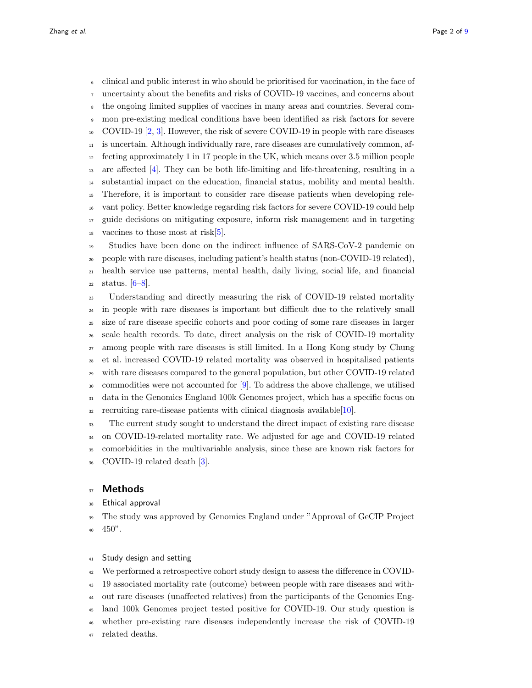clinical and public interest in who should be prioritised for vaccination, in the face of uncertainty about the benefits and risks of COVID-19 vaccines, and concerns about the ongoing limited supplies of vaccines in many areas and countries. Several common pre-existing medical conditions have been identified as risk factors for severe COVID-19 [\[2,](#page-5-5) [3\]](#page-6-0). However, the risk of severe COVID-19 in people with rare diseases is uncertain. Although individually rare, rare diseases are cumulatively common, af- fecting approximately 1 in 17 people in the UK, which means over 3.5 million people  $_{13}$  are affected [\[4\]](#page-6-1). They can be both life-limiting and life-threatening, resulting in a substantial impact on the education, financial status, mobility and mental health. Therefore, it is important to consider rare disease patients when developing rele- vant policy. Better knowledge regarding risk factors for severe COVID-19 could help guide decisions on mitigating exposure, inform risk management and in targeting  $\frac{18}{18}$  vaccines to those most at risk $\left[5\right]$ .

 Studies have been done on the indirect influence of SARS-CoV-2 pandemic on people with rare diseases, including patient's health status (non-COVID-19 related), health service use patterns, mental health, daily living, social life, and financial status.  $[6-8]$  $[6-8]$ .

 Understanding and directly measuring the risk of COVID-19 related mortality <sup>24</sup> in people with rare diseases is important but difficult due to the relatively small size of rare disease specific cohorts and poor coding of some rare diseases in larger scale health records. To date, direct analysis on the risk of COVID-19 mortality among people with rare diseases is still limited. In a Hong Kong study by Chung et al. increased COVID-19 related mortality was observed in hospitalised patients with rare diseases compared to the general population, but other COVID-19 related commodities were not accounted for [\[9\]](#page-6-5). To address the above challenge, we utilised data in the Genomics England 100k Genomes project, which has a specific focus on recruiting rare-disease patients with clinical diagnosis available[\[10\]](#page-6-6).

 The current study sought to understand the direct impact of existing rare disease on COVID-19-related mortality rate. We adjusted for age and COVID-19 related comorbidities in the multivariable analysis, since these are known risk factors for COVID-19 related death [\[3\]](#page-6-0).

# Methods

38 Ethical approval

 The study was approved by Genomics England under "Approval of GeCIP Project 450".

# 41 Study design and setting

We performed a retrospective cohort study design to assess the difference in COVID-

19 associated mortality rate (outcome) between people with rare diseases and with-

out rare diseases (unaffected relatives) from the participants of the Genomics Eng-

land 100k Genomes project tested positive for COVID-19. Our study question is

whether pre-existing rare diseases independently increase the risk of COVID-19

related deaths.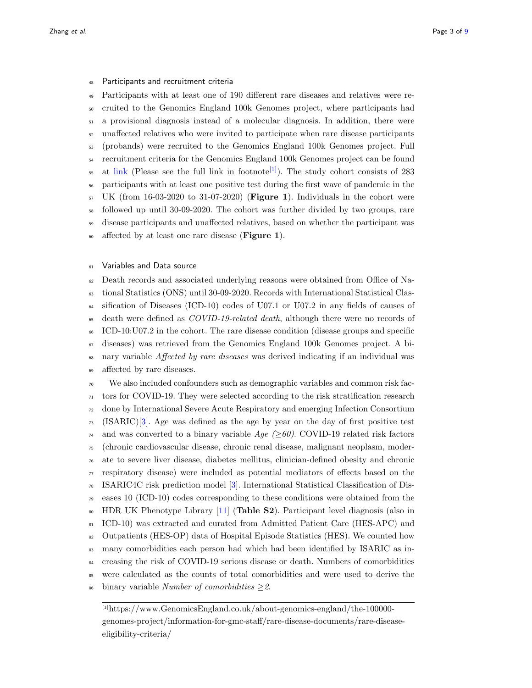Participants and recruitment criteria

 Participants with at least one of 190 different rare diseases and relatives were re- cruited to the Genomics England 100k Genomes project, where participants had a provisional diagnosis instead of a molecular diagnosis. In addition, there were unaffected relatives who were invited to participate when rare disease participants (probands) were recruited to the Genomics England 100k Genomes project. Full recruitment criteria for the Genomics England 100k Genomes project can be found <sup>55</sup> at [link](https://www.GenomicsEngland.co.uk/about-genomics-england/the-100000-genomes-project/information-for-gmc-staff/rare-disease-documents/rare-disease-eligibility-criteria/) (Please see the full link in footnote<sup>[\[1\]](#page-2-0)</sup>). The study cohort consists of 283 participants with at least one positive test during the first wave of pandemic in the UK (from 16-03-2020 to 31-07-2020) (Figure 1). Individuals in the cohort were followed up until 30-09-2020. The cohort was further divided by two groups, rare disease participants and unaffected relatives, based on whether the participant was  $\omega$  affected by at least one rare disease (Figure 1).

## Variables and Data source

 Death records and associated underlying reasons were obtained from Office of Na- tional Statistics (ONS) until 30-09-2020. Records with International Statistical Clas- sification of Diseases (ICD-10) codes of U07.1 or U07.2 in any fields of causes of <sup>65</sup> death were defined as *COVID-19-related death*, although there were no records of ICD-10:U07.2 in the cohort. The rare disease condition (disease groups and specific diseases) was retrieved from the Genomics England 100k Genomes project. A bi-<sup>68</sup> nary variable *Affected by rare diseases* was derived indicating if an individual was affected by rare diseases.

 We also included confounders such as demographic variables and common risk fac- tors for COVID-19. They were selected according to the risk stratification research done by International Severe Acute Respiratory and emerging Infection Consortium (ISARIC)[\[3\]](#page-6-0). Age was defined as the age by year on the day of first positive test <sup>74</sup> and was converted to a binary variable  $Age \geq 60$ . COVID-19 related risk factors (chronic cardiovascular disease, chronic renal disease, malignant neoplasm, moder- ate to severe liver disease, diabetes mellitus, clinician-defined obesity and chronic  $\pi$  respiratory disease) were included as potential mediators of effects based on the ISARIC4C risk prediction model [\[3\]](#page-6-0). International Statistical Classification of Dis- eases 10 (ICD-10) codes corresponding to these conditions were obtained from the HDR UK Phenotype Library [\[11\]](#page-6-7) (Table S2). Participant level diagnosis (also in ICD-10) was extracted and curated from Admitted Patient Care (HES-APC) and Outpatients (HES-OP) data of Hospital Episode Statistics (HES). We counted how many comorbidities each person had which had been identified by ISARIC as in- creasing the risk of COVID-19 serious disease or death. Numbers of comorbidities were calculated as the counts of total comorbidities and were used to derive the 86 binary variable Number of comorbidities  $\geq 2$ .

<span id="page-2-0"></span>[1]https://www.GenomicsEngland.co.uk/about-genomics-england/the-100000 genomes-project/information-for-gmc-staff/rare-disease-documents/rare-diseaseeligibility-criteria/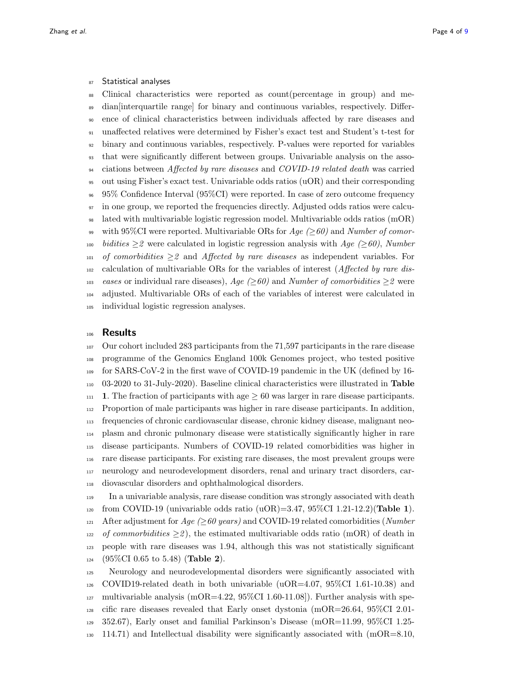87 Statistical analyses

 Clinical characteristics were reported as count(percentage in group) and me- dian[interquartile range] for binary and continuous variables, respectively. Differ- ence of clinical characteristics between individuals affected by rare diseases and unaffected relatives were determined by Fisher's exact test and Student's t-test for binary and continuous variables, respectively. P-values were reported for variables that were significantly different between groups. Univariable analysis on the asso- $\mu$  ciations between Affected by rare diseases and COVID-19 related death was carried out using Fisher's exact test. Univariable odds ratios (uOR) and their corresponding 95% Confidence Interval (95%CI) were reported. In case of zero outcome frequency in one group, we reported the frequencies directly. Adjusted odds ratios were calcu- lated with multivariable logistic regression model. Multivariable odds ratios (mOR) 99 with 95%CI were reported. Multivariable ORs for  $Age \geq 60$  and Number of comor- bidities  $\geq$  were calculated in logistic regression analysis with Age ( $\geq$ 60), Number of comorbidities  $>2$  and Affected by rare diseases as independent variables. For calculation of multivariable ORs for the variables of interest (*Affected by rare dis-*<sup>103</sup> eases or individual rare diseases), Age ( $\geq 60$ ) and Number of comorbidities  $\geq 2$  were adjusted. Multivariable ORs of each of the variables of interest were calculated in individual logistic regression analyses.

# Results

 Our cohort included 283 participants from the 71,597 participants in the rare disease programme of the Genomics England 100k Genomes project, who tested positive for SARS-CoV-2 in the first wave of COVID-19 pandemic in the UK (defined by 16- 03-2020 to 31-July-2020). Baseline clinical characteristics were illustrated in Table 111 1. The fraction of participants with age  $\geq 60$  was larger in rare disease participants. Proportion of male participants was higher in rare disease participants. In addition, frequencies of chronic cardiovascular disease, chronic kidney disease, malignant neo- plasm and chronic pulmonary disease were statistically significantly higher in rare disease participants. Numbers of COVID-19 related comorbidities was higher in rare disease participants. For existing rare diseases, the most prevalent groups were neurology and neurodevelopment disorders, renal and urinary tract disorders, car-diovascular disorders and ophthalmological disorders.

 In a univariable analysis, rare disease condition was strongly associated with death 120 from COVID-19 (univariable odds ratio  $(uOR)=3.47$ , 95%CI 1.21-12.2)(Table 1). 121 After adjustment for  $Age \geq 60 \text{ years}$ ) and COVID-19 related comorbidities (Number <sup>122</sup> of commorbidities  $\geq 2$ ), the estimated multivariable odds ratio (mOR) of death in people with rare diseases was 1.94, although this was not statistically significant  $124 \quad (95\%CI\ 0.65\ to\ 5.48)$  (Table 2).

 Neurology and neurodevelopmental disorders were significantly associated with COVID19-related death in both univariable (uOR=4.07, 95%CI 1.61-10.38) and multivariable analysis (mOR=4.22, 95%CI 1.60-11.08). Further analysis with spe- cific rare diseases revealed that Early onset dystonia (mOR=26.64, 95%CI 2.01- 352.67), Early onset and familial Parkinson's Disease (mOR=11.99, 95%CI 1.25-  $_{130}$  114.71) and Intellectual disability were significantly associated with  $(mOR=8.10,$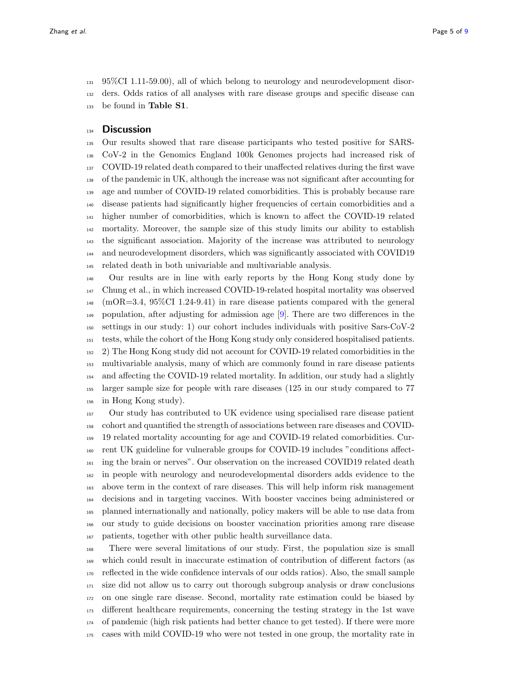95%CI 1.11-59.00), all of which belong to neurology and neurodevelopment disor-

ders. Odds ratios of all analyses with rare disease groups and specific disease can

133 be found in Table S1.

# 134 Discussion

 Our results showed that rare disease participants who tested positive for SARS- CoV-2 in the Genomics England 100k Genomes projects had increased risk of COVID-19 related death compared to their unaffected relatives during the first wave of the pandemic in UK, although the increase was not significant after accounting for age and number of COVID-19 related comorbidities. This is probably because rare disease patients had significantly higher frequencies of certain comorbidities and a higher number of comorbidities, which is known to affect the COVID-19 related mortality. Moreover, the sample size of this study limits our ability to establish the significant association. Majority of the increase was attributed to neurology and neurodevelopment disorders, which was significantly associated with COVID19 related death in both univariable and multivariable analysis.

 Our results are in line with early reports by the Hong Kong study done by Chung et al., in which increased COVID-19-related hospital mortality was observed (mOR=3.4, 95%CI 1.24-9.41) in rare disease patients compared with the general 149 population, after adjusting for admission age  $[9]$ . There are two differences in the settings in our study: 1) our cohort includes individuals with positive Sars-CoV-2 tests, while the cohort of the Hong Kong study only considered hospitalised patients. 2) The Hong Kong study did not account for COVID-19 related comorbidities in the multivariable analysis, many of which are commonly found in rare disease patients and affecting the COVID-19 related mortality. In addition, our study had a slightly larger sample size for people with rare diseases (125 in our study compared to 77 in Hong Kong study).

 Our study has contributed to UK evidence using specialised rare disease patient cohort and quantified the strength of associations between rare diseases and COVID- 19 related mortality accounting for age and COVID-19 related comorbidities. Cur- rent UK guideline for vulnerable groups for COVID-19 includes "conditions affect- ing the brain or nerves". Our observation on the increased COVID19 related death in people with neurology and neurodevelopmental disorders adds evidence to the above term in the context of rare diseases. This will help inform risk management decisions and in targeting vaccines. With booster vaccines being administered or planned internationally and nationally, policy makers will be able to use data from our study to guide decisions on booster vaccination priorities among rare disease patients, together with other public health surveillance data.

 There were several limitations of our study. First, the population size is small which could result in inaccurate estimation of contribution of different factors (as reflected in the wide confidence intervals of our odds ratios). Also, the small sample size did not allow us to carry out thorough subgroup analysis or draw conclusions on one single rare disease. Second, mortality rate estimation could be biased by different healthcare requirements, concerning the testing strategy in the 1st wave of pandemic (high risk patients had better chance to get tested). If there were more cases with mild COVID-19 who were not tested in one group, the mortality rate in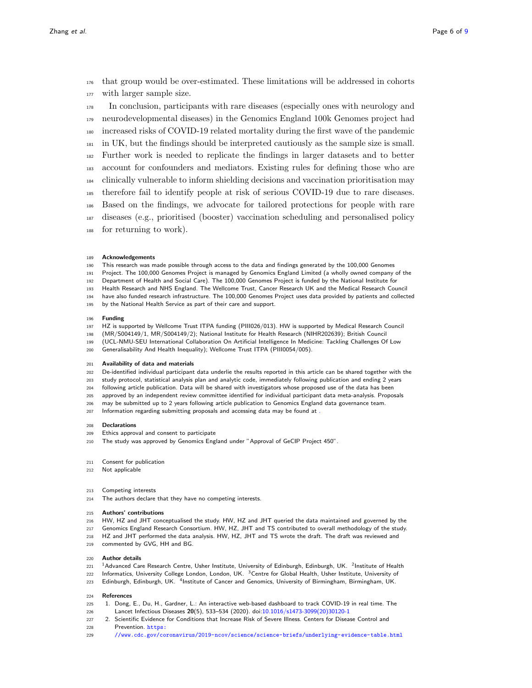that group would be over-estimated. These limitations will be addressed in cohorts with larger sample size.

 In conclusion, participants with rare diseases (especially ones with neurology and neurodevelopmental diseases) in the Genomics England 100k Genomes project had increased risks of COVID-19 related mortality during the first wave of the pandemic in UK, but the findings should be interpreted cautiously as the sample size is small. Further work is needed to replicate the findings in larger datasets and to better account for confounders and mediators. Existing rules for defining those who are clinically vulnerable to inform shielding decisions and vaccination prioritisation may therefore fail to identify people at risk of serious COVID-19 due to rare diseases. Based on the findings, we advocate for tailored protections for people with rare diseases (e.g., prioritised (booster) vaccination scheduling and personalised policy for returning to work).

#### Acknowledgements

This research was made possible through access to the data and findings generated by the 100,000 Genomes

Project. The 100,000 Genomes Project is managed by Genomics England Limited (a wholly owned company of the

Department of Health and Social Care). The 100,000 Genomes Project is funded by the National Institute for

Health Research and NHS England. The Wellcome Trust, Cancer Research UK and the Medical Research Council

 have also funded research infrastructure. The 100,000 Genomes Project uses data provided by patients and collected by the National Health Service as part of their care and support.

#### Funding

- HZ is supported by Wellcome Trust ITPA funding (PIII026/013). HW is supported by Medical Research Council
- (MR/S004149/1, MR/S004149/2); National Institute for Health Research (NIHR202639); British Council
- (UCL-NMU-SEU International Collaboration On Artificial Intelligence In Medicine: Tackling Challenges Of Low
- Generalisability And Health Inequality); Wellcome Trust ITPA (PIII0054/005).

#### Availability of data and materials

- De-identified individual participant data underlie the results reported in this article can be shared together with the
- study protocol, statistical analysis plan and analytic code, immediately following publication and ending 2 years
- following article publication. Data will be shared with investigators whose proposed use of the data has been
- approved by an independent review committee identified for individual participant data meta-analysis. Proposals
- may be submitted up to 2 years following article publication to Genomics England data governance team.
- Information regarding submitting proposals and accessing data may be found at [.](https://www.genomicsengland.co.uk/contact-us/)

#### Declarations

- Ethics approval and consent to participate
- The study was approved by Genomics England under "Approval of GeCIP Project 450".
- Consent for publication
- Not applicable

#### Competing interests

214 The authors declare that they have no competing interests

#### Authors' contributions

- HW, HZ and JHT conceptualised the study. HW, HZ and JHT queried the data maintained and governed by the
- Genomics England Research Consortium. HW, HZ, JHT and TS contributed to overall methodology of the study.
- HZ and JHT performed the data analysis. HW, HZ, JHT and TS wrote the draft. The draft was reviewed and
- commented by GVG, HH and BG.

### Author details

- <span id="page-5-2"></span><span id="page-5-1"></span><span id="page-5-0"></span>221 <sup>1</sup> Advanced Care Research Centre, Usher Institute, University of Edinburgh, Edinburgh, UK. <sup>2</sup>Institute of Health
- <span id="page-5-3"></span>222 Informatics, University College London, London, UK. <sup>3</sup> Centre for Global Health, Usher Institute, University of
- 223 Edinburgh, Edinburgh, UK. <sup>4</sup>Institute of Cancer and Genomics, University of Birmingham, Birmingham, UK.

## <span id="page-5-4"></span>References

- 1. Dong, E., Du, H., Gardner, L.: An interactive web-based dashboard to track COVID-19 in real time. The
- <span id="page-5-5"></span>Lancet Infectious Diseases 20(5), 533–534 (2020). doi[:10.1016/s1473-3099\(20\)30120-1](http://dx.doi.org/10.1016/s1473-3099(20)30120-1)
- 2. Scientific Evidence for Conditions that Increase Risk of Severe Illness. Centers for Disease Control and Prevention. [https:](https://www.cdc.gov/coronavirus/2019-ncov/science/science-briefs/underlying-evidence-table.html)
- [//www.cdc.gov/coronavirus/2019-ncov/science/science-briefs/underlying-evidence-table.html](https://www.cdc.gov/coronavirus/2019-ncov/science/science-briefs/underlying-evidence-table.html)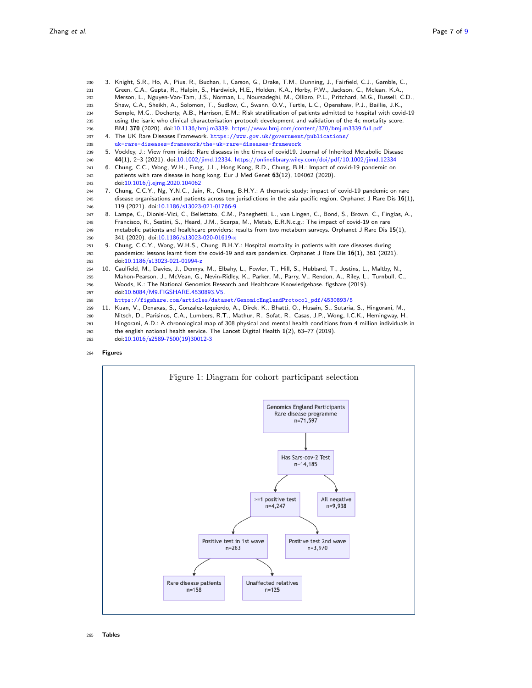<span id="page-6-3"></span><span id="page-6-2"></span><span id="page-6-1"></span><span id="page-6-0"></span>

| 230 | 3. Knight, S.R., Ho, A., Pius, R., Buchan, I., Carson, G., Drake, T.M., Dunning, J., Fairfield, C.J., Gamble, C.,     |
|-----|-----------------------------------------------------------------------------------------------------------------------|
| 231 | Green, C.A., Gupta, R., Halpin, S., Hardwick, H.E., Holden, K.A., Horby, P.W., Jackson, C., Mclean, K.A.,             |
| 232 | Merson, L., Nguyen-Van-Tam, J.S., Norman, L., Noursadeghi, M., Olliaro, P.L., Pritchard, M.G., Russell, C.D.,         |
| 233 | Shaw, C.A., Sheikh, A., Solomon, T., Sudlow, C., Swann, O.V., Turtle, L.C., Openshaw, P.J., Baillie, J.K.,            |
| 234 | Semple, M.G., Docherty, A.B., Harrison, E.M.: Risk stratification of patients admitted to hospital with covid-19      |
| 235 | using the isaric who clinical characterisation protocol: development and validation of the 4c mortality score.        |
| 236 | BMJ 370 (2020). doi:10.1136/bmj.m3339. https://www.bmj.com/content/370/bmj.m3339.full.pdf                             |
| 237 | 4. The UK Rare Diseases Framework. https://www.gov.uk/government/publications/                                        |
| 238 | uk-rare-diseases-framework/the-uk-rare-diseases-framework                                                             |
| 239 | 5. Vockley, J.: View from inside: Rare diseases in the times of covid19. Journal of Inherited Metabolic Disease       |
| 240 | 44(1), 2-3 (2021). doi:10.1002/jimd.12334. https://onlinelibrary.wiley.com/doi/pdf/10.1002/jimd.12334                 |
| 241 | 6. Chung, C.C., Wong, W.H., Fung, J.L., Hong Kong, R.D., Chung, B.H.: Impact of covid-19 pandemic on                  |
| 242 | patients with rare disease in hong kong. Eur J Med Genet 63(12), 104062 (2020).                                       |
| 243 | doi:10.1016/j.ejmg.2020.104062                                                                                        |
| 244 | 7. Chung, C.C.Y., Ng, Y.N.C., Jain, R., Chung, B.H.Y.: A thematic study: impact of covid-19 pandemic on rare          |
| 245 | disease organisations and patients across ten jurisdictions in the asia pacific region. Orphanet J Rare Dis $16(1)$ , |
| 246 | 119 (2021). doi:10.1186/s13023-021-01766-9                                                                            |
| 247 | 8. Lampe, C., Dionisi-Vici, C., Bellettato, C.M., Paneghetti, L., van Lingen, C., Bond, S., Brown, C., Finglas, A.,   |
| 248 | Francisco, R., Sestini, S., Heard, J.M., Scarpa, M., Metab, E.R.N.c.g.: The impact of covid-19 on rare                |
| 249 | metabolic patients and healthcare providers: results from two metabern surveys. Orphanet J Rare Dis $15(1)$ ,         |
| 250 | 341 (2020). doi:10.1186/s13023-020-01619-x                                                                            |
| 251 | 9. Chung, C.C.Y., Wong, W.H.S., Chung, B.H.Y.: Hospital mortality in patients with rare diseases during               |
| 252 | pandemics: lessons learnt from the covid-19 and sars pandemics. Orphanet J Rare Dis $16(1)$ , 361 (2021).             |
| 253 | doi:10.1186/s13023-021-01994-z                                                                                        |
| 254 | 10. Caulfield, M., Davies, J., Dennys, M., Elbahy, L., Fowler, T., Hill, S., Hubbard, T., Jostins, L., Maltby, N.,    |
| 255 | Mahon-Pearson, J., McVean, G., Nevin-Ridley, K., Parker, M., Parry, V., Rendon, A., Riley, L., Turnbull, C.,          |
| 256 | Woods, K.: The National Genomics Research and Healthcare Knowledgebase. figshare (2019).                              |
| 257 | doi:10.6084/M9.FIGSHARE.4530893.V5.                                                                                   |
| 258 | https://figshare.com/articles/dataset/GenomicEnglandProtocol_pdf/4530893/5                                            |
| 259 | 11. Kuan, V., Denaxas, S., Gonzalez-Izquierdo, A., Direk, K., Bhatti, O., Husain, S., Sutaria, S., Hingorani, M.,     |
| 260 | Nitsch, D., Parisinos, C.A., Lumbers, R.T., Mathur, R., Sofat, R., Casas, J.P., Wong, I.C.K., Hemingway, H.,          |
| 261 | Hingorani, A.D.: A chronological map of 308 physical and mental health conditions from 4 million individuals in       |

- <span id="page-6-7"></span><span id="page-6-6"></span><span id="page-6-5"></span><span id="page-6-4"></span>262 the english national health service. The Lancet Digital Health  $1(2)$ , 63–77 (2019).
- doi[:10.1016/s2589-7500\(19\)30012-3](http://dx.doi.org/10.1016/s2589-7500(19)30012-3)

# Figures

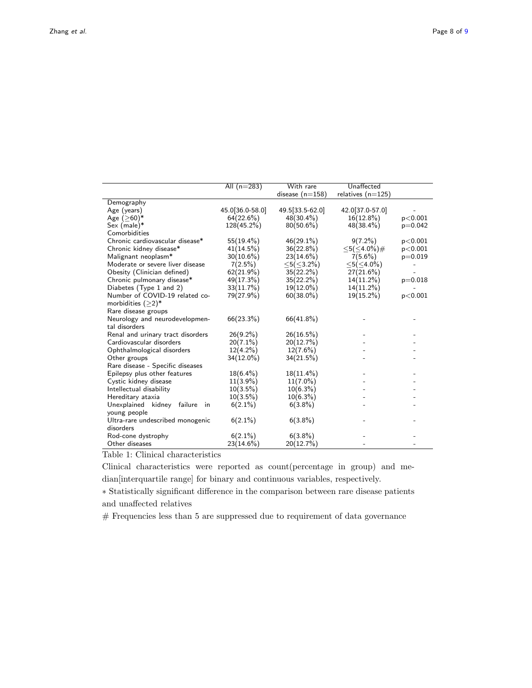|                                   | All $(n=283)$    | With rare          | Unaffected          |           |
|-----------------------------------|------------------|--------------------|---------------------|-----------|
|                                   |                  | disease $(n=158)$  | relatives $(n=125)$ |           |
| Demography                        |                  |                    |                     |           |
| Age (years)                       | 45.0 [36.0-58.0] | 49.5 [33.5-62.0]   | 42.0 [37.0-57.0]    |           |
| Age $(>60)*$                      | 64(22.6%)        | 48(30.4%)          | $16(12.8\%)$        | p<0.001   |
| $Sex (male)*$                     | $128(45.2\%)$    | 80(50.6%)          | 48(38.4%)           | $p=0.042$ |
| Comorbidities                     |                  |                    |                     |           |
| Chronic cardiovascular disease*   | 55(19.4%)        | $46(29.1\%)$       | $9(7.2\%)$          | p<0.001   |
| Chronic kidney disease*           | 41(14.5%)        | 36(22.8%)          | $<$ 5( $<$ 4.0%)#   | p<0.001   |
| Malignant neoplasm*               | $30(10.6\%)$     | $23(14.6\%)$       | $7(5.6\%)$          | $p=0.019$ |
| Moderate or severe liver disease  | 7(2.5%)          | $\leq 5 (< 3.2\%)$ | $<$ 5( $<$ 4.0%)    |           |
| Obesity (Clinician defined)       | 62(21.9%)        | $35(22.2\%)$       | 27(21.6%)           |           |
| Chronic pulmonary disease*        | 49(17.3%)        | 35(22.2%)          | 14(11.2%)           | $p=0.018$ |
| Diabetes (Type 1 and 2)           | 33(11.7%)        | 19(12.0%)          | $14(11.2\%)$        |           |
| Number of COVID-19 related co-    | 79(27.9%)        | $60(38.0\%)$       | $19(15.2\%)$        | p<0.001   |
| morbidities $(≥2)*$               |                  |                    |                     |           |
| Rare disease groups               |                  |                    |                     |           |
| Neurology and neurodevelopmen-    | 66(23.3%)        | 66(41.8%)          |                     |           |
| tal disorders                     |                  |                    |                     |           |
| Renal and urinary tract disorders | $26(9.2\%)$      | 26(16.5%)          |                     |           |
| Cardiovascular disorders          | $20(7.1\%)$      | 20(12.7%)          |                     |           |
| Ophthalmological disorders        | $12(4.2\%)$      | $12(7.6\%)$        |                     |           |
| Other groups                      | 34(12.0%)        | 34(21.5%)          |                     |           |
| Rare disease - Specific diseases  |                  |                    |                     |           |
| Epilepsy plus other features      | $18(6.4\%)$      | $18(11.4\%)$       |                     |           |
| Cystic kidney disease             | $11(3.9\%)$      | $11(7.0\%)$        |                     |           |
| Intellectual disability           | 10(3.5%)         | $10(6.3\%)$        |                     |           |
| Hereditary ataxia                 | $10(3.5\%)$      | $10(6.3\%)$        |                     |           |
| Unexplained kidney failure in     | $6(2.1\%)$       | $6(3.8\%)$         |                     |           |
| young people                      |                  |                    |                     |           |
| Ultra-rare undescribed monogenic  | $6(2.1\%)$       | $6(3.8\%)$         |                     |           |
| disorders                         |                  |                    |                     |           |
| Rod-cone dystrophy                | $6(2.1\%)$       | $6(3.8\%)$         |                     |           |
| Other diseases                    | 23(14.6%)        | 20(12.7%)          |                     |           |

Table 1: Clinical characteristics

Clinical characteristics were reported as count(percentage in group) and median[interquartile range] for binary and continuous variables, respectively.

∗ Statistically significant difference in the comparison between rare disease patients and unaffected relatives

 $#$  Frequencies less than 5 are suppressed due to requirement of data governance